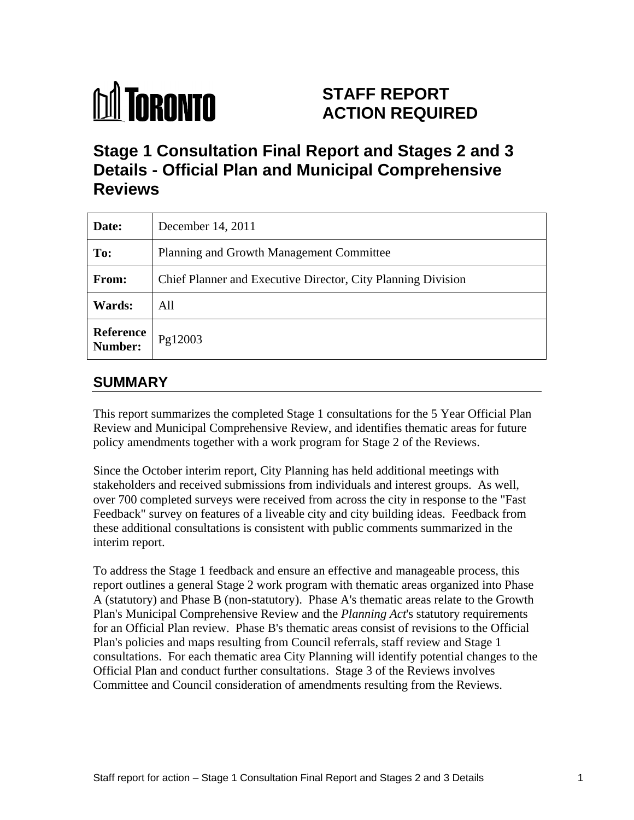

# **STAFF REPORT ACTION REQUIRED**

# **Stage 1 Consultation Final Report and Stages 2 and 3 Details - Official Plan and Municipal Comprehensive Reviews**

| Date:                        | December 14, 2011                                            |
|------------------------------|--------------------------------------------------------------|
| To:                          | Planning and Growth Management Committee                     |
| From:                        | Chief Planner and Executive Director, City Planning Division |
| <b>Wards:</b>                | All                                                          |
| Reference<br>Number: Pg12003 |                                                              |

## **SUMMARY**

This report summarizes the completed Stage 1 consultations for the 5 Year Official Plan Review and Municipal Comprehensive Review, and identifies thematic areas for future policy amendments together with a work program for Stage 2 of the Reviews.

Since the October interim report, City Planning has held additional meetings with stakeholders and received submissions from individuals and interest groups. As well, over 700 completed surveys were received from across the city in response to the "Fast Feedback" survey on features of a liveable city and city building ideas. Feedback from these additional consultations is consistent with public comments summarized in the interim report.

To address the Stage 1 feedback and ensure an effective and manageable process, this report outlines a general Stage 2 work program with thematic areas organized into Phase A (statutory) and Phase B (non-statutory). Phase A's thematic areas relate to the Growth Plan's Municipal Comprehensive Review and the *Planning Act*'s statutory requirements for an Official Plan review. Phase B's thematic areas consist of revisions to the Official Plan's policies and maps resulting from Council referrals, staff review and Stage 1 consultations. For each thematic area City Planning will identify potential changes to the Official Plan and conduct further consultations. Stage 3 of the Reviews involves Committee and Council consideration of amendments resulting from the Reviews.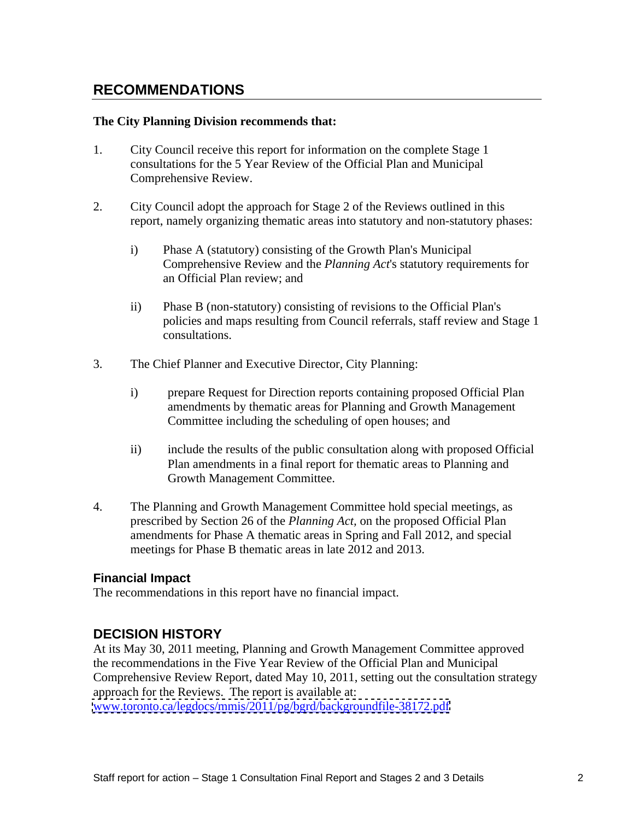## **RECOMMENDATIONS**

#### **The City Planning Division recommends that:**

- 1. City Council receive this report for information on the complete Stage 1 consultations for the 5 Year Review of the Official Plan and Municipal Comprehensive Review.
- 2. City Council adopt the approach for Stage 2 of the Reviews outlined in this report, namely organizing thematic areas into statutory and non-statutory phases:
	- i) Phase A (statutory) consisting of the Growth Plan's Municipal Comprehensive Review and the *Planning Act*'s statutory requirements for an Official Plan review; and
	- ii) Phase B (non-statutory) consisting of revisions to the Official Plan's policies and maps resulting from Council referrals, staff review and Stage 1 consultations.
- 3. The Chief Planner and Executive Director, City Planning:
	- i) prepare Request for Direction reports containing proposed Official Plan amendments by thematic areas for Planning and Growth Management Committee including the scheduling of open houses; and
	- ii) include the results of the public consultation along with proposed Official Plan amendments in a final report for thematic areas to Planning and Growth Management Committee.
- 4. The Planning and Growth Management Committee hold special meetings, as prescribed by Section 26 of the *Planning Act,* on the proposed Official Plan amendments for Phase A thematic areas in Spring and Fall 2012, and special meetings for Phase B thematic areas in late 2012 and 2013.

#### **Financial Impact**

The recommendations in this report have no financial impact.

## **DECISION HISTORY**

At its May 30, 2011 meeting, Planning and Growth Management Committee approved the recommendations in the Five Year Review of the Official Plan and Municipal Comprehensive Review Report, dated May 10, 2011, setting out the consultation strategy approach for the Reviews. The report is available at:

[www.toronto.ca/legdocs/mmis/2011/pg/bgrd/backgroundfile-38172.pdf](http://www.toronto.ca/legdocs/mmis/2011/pg/bgrd/backgroundfile-38172.pdf)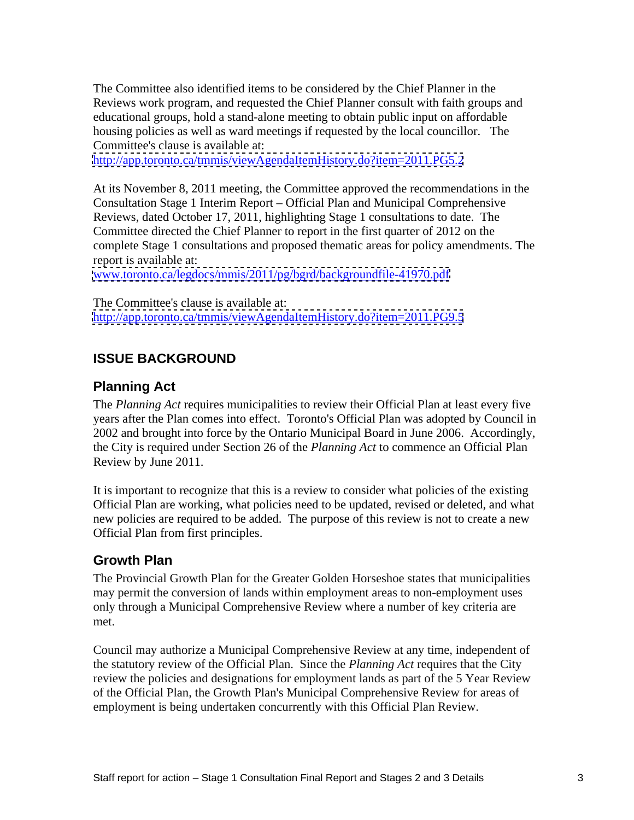The Committee also identified items to be considered by the Chief Planner in the Reviews work program, and requested the Chief Planner consult with faith groups and educational groups, hold a stand-alone meeting to obtain public input on affordable housing policies as well as ward meetings if requested by the local councillor. The Committee's clause is available at:

<http://app.toronto.ca/tmmis/viewAgendaItemHistory.do?item=2011.PG5.2>

At its November 8, 2011 meeting, the Committee approved the recommendations in the Consultation Stage 1 Interim Report – Official Plan and Municipal Comprehensive Reviews, dated October 17, 2011, highlighting Stage 1 consultations to date. The Committee directed the Chief Planner to report in the first quarter of 2012 on the complete Stage 1 consultations and proposed thematic areas for policy amendments. The report is available at:

www.toronto.ca/legdocs/mmis/2011/pg/bgrd/backgroundfile-41970.pdf<br>The Committee's clause is available at:

<http://app.toronto.ca/tmmis/viewAgendaItemHistory.do?item=2011.PG9.5>

## **ISSUE BACKGROUND**

### **Planning Act**

The *Planning Act* requires municipalities to review their Official Plan at least every five years after the Plan comes into effect. Toronto's Official Plan was adopted by Council in 2002 and brought into force by the Ontario Municipal Board in June 2006. Accordingly, the City is required under Section 26 of the *Planning Act* to commence an Official Plan Review by June 2011.

It is important to recognize that this is a review to consider what policies of the existing Official Plan are working, what policies need to be updated, revised or deleted, and what new policies are required to be added. The purpose of this review is not to create a new Official Plan from first principles.

#### **Growth Plan**

The Provincial Growth Plan for the Greater Golden Horseshoe states that municipalities may permit the conversion of lands within employment areas to non-employment uses only through a Municipal Comprehensive Review where a number of key criteria are met.

Council may authorize a Municipal Comprehensive Review at any time, independent of the statutory review of the Official Plan. Since the *Planning Act* requires that the City review the policies and designations for employment lands as part of the 5 Year Review of the Official Plan, the Growth Plan's Municipal Comprehensive Review for areas of employment is being undertaken concurrently with this Official Plan Review.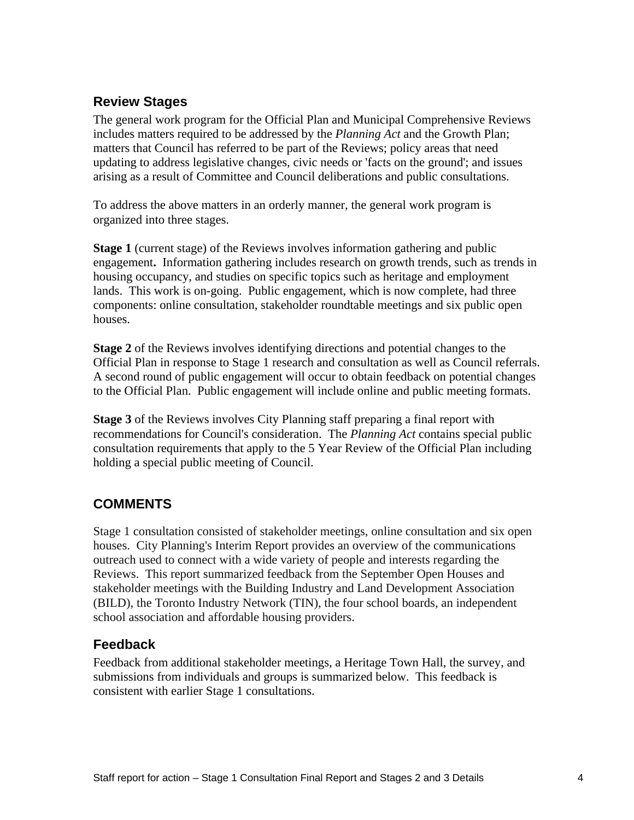## **Review Stages**

The general work program for the Official Plan and Municipal Comprehensive Reviews includes matters required to be addressed by the *Planning Act* and the Growth Plan; matters that Council has referred to be part of the Reviews; policy areas that need updating to address legislative changes, civic needs or 'facts on the ground'; and issues arising as a result of Committee and Council deliberations and public consultations.

To address the above matters in an orderly manner, the general work program is organized into three stages.

**Stage 1** (current stage) of the Reviews involves information gathering and public engagement**.** Information gathering includes research on growth trends, such as trends in housing occupancy, and studies on specific topics such as heritage and employment lands. This work is on-going. Public engagement, which is now complete, had three components: online consultation, stakeholder roundtable meetings and six public open houses.

**Stage 2** of the Reviews involves identifying directions and potential changes to the Official Plan in response to Stage 1 research and consultation as well as Council referrals. A second round of public engagement will occur to obtain feedback on potential changes to the Official Plan. Public engagement will include online and public meeting formats.

**Stage 3** of the Reviews involves City Planning staff preparing a final report with recommendations for Council's consideration. The *Planning Act* contains special public consultation requirements that apply to the 5 Year Review of the Official Plan including holding a special public meeting of Council.

## **COMMENTS**

Stage 1 consultation consisted of stakeholder meetings, online consultation and six open houses. City Planning's Interim Report provides an overview of the communications outreach used to connect with a wide variety of people and interests regarding the Reviews. This report summarized feedback from the September Open Houses and stakeholder meetings with the Building Industry and Land Development Association (BILD), the Toronto Industry Network (TIN), the four school boards, an independent school association and affordable housing providers.

## **Feedback**

Feedback from additional stakeholder meetings, a Heritage Town Hall, the survey, and submissions from individuals and groups is summarized below. This feedback is consistent with earlier Stage 1 consultations.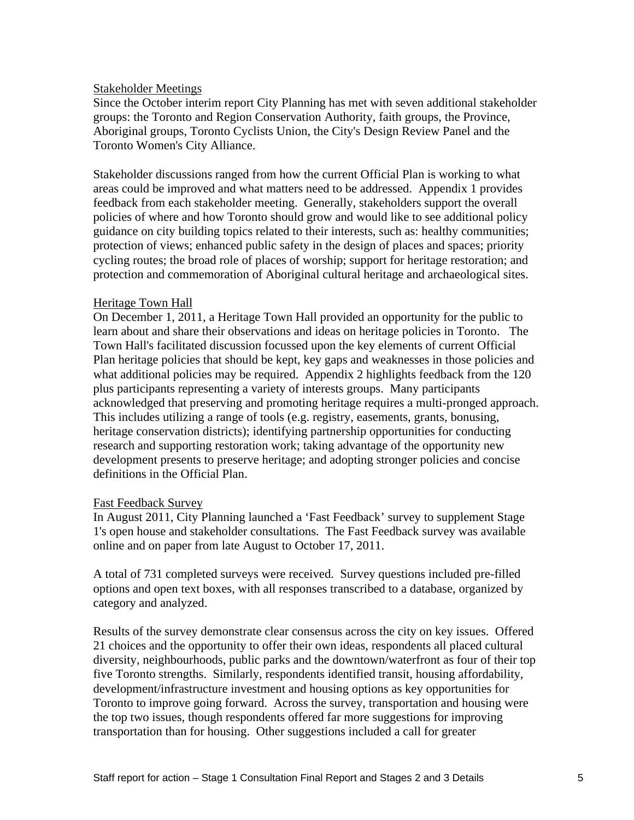#### Stakeholder Meetings

Since the October interim report City Planning has met with seven additional stakeholder groups: the Toronto and Region Conservation Authority, faith groups, the Province, Aboriginal groups, Toronto Cyclists Union, the City's Design Review Panel and the Toronto Women's City Alliance.

Stakeholder discussions ranged from how the current Official Plan is working to what areas could be improved and what matters need to be addressed. Appendix 1 provides feedback from each stakeholder meeting. Generally, stakeholders support the overall policies of where and how Toronto should grow and would like to see additional policy guidance on city building topics related to their interests, such as: healthy communities; protection of views; enhanced public safety in the design of places and spaces; priority cycling routes; the broad role of places of worship; support for heritage restoration; and protection and commemoration of Aboriginal cultural heritage and archaeological sites.

#### Heritage Town Hall

On December 1, 2011, a Heritage Town Hall provided an opportunity for the public to learn about and share their observations and ideas on heritage policies in Toronto. The Town Hall's facilitated discussion focussed upon the key elements of current Official Plan heritage policies that should be kept, key gaps and weaknesses in those policies and what additional policies may be required. Appendix 2 highlights feedback from the 120 plus participants representing a variety of interests groups. Many participants acknowledged that preserving and promoting heritage requires a multi-pronged approach. This includes utilizing a range of tools (e.g. registry, easements, grants, bonusing, heritage conservation districts); identifying partnership opportunities for conducting research and supporting restoration work; taking advantage of the opportunity new development presents to preserve heritage; and adopting stronger policies and concise definitions in the Official Plan.

#### Fast Feedback Survey

In August 2011, City Planning launched a 'Fast Feedback' survey to supplement Stage 1's open house and stakeholder consultations. The Fast Feedback survey was available online and on paper from late August to October 17, 2011.

A total of 731 completed surveys were received. Survey questions included pre-filled options and open text boxes, with all responses transcribed to a database, organized by category and analyzed.

Results of the survey demonstrate clear consensus across the city on key issues. Offered 21 choices and the opportunity to offer their own ideas, respondents all placed cultural diversity, neighbourhoods, public parks and the downtown/waterfront as four of their top five Toronto strengths. Similarly, respondents identified transit, housing affordability, development/infrastructure investment and housing options as key opportunities for Toronto to improve going forward. Across the survey, transportation and housing were the top two issues, though respondents offered far more suggestions for improving transportation than for housing. Other suggestions included a call for greater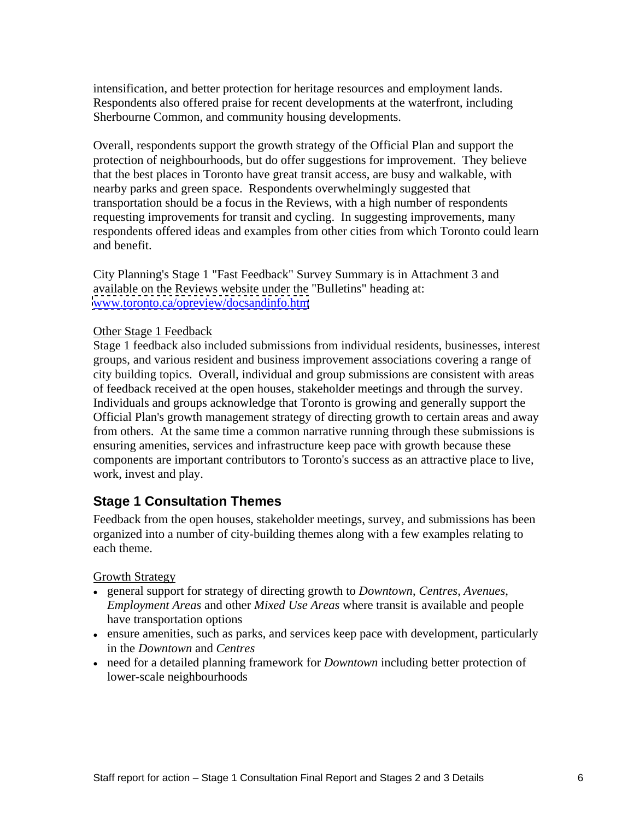intensification, and better protection for heritage resources and employment lands. Respondents also offered praise for recent developments at the waterfront, including Sherbourne Common, and community housing developments.

Overall, respondents support the growth strategy of the Official Plan and support the protection of neighbourhoods, but do offer suggestions for improvement. They believe that the best places in Toronto have great transit access, are busy and walkable, with nearby parks and green space. Respondents overwhelmingly suggested that transportation should be a focus in the Reviews, with a high number of respondents requesting improvements for transit and cycling. In suggesting improvements, many respondents offered ideas and examples from other cities from which Toronto could learn and benefit.

City Planning's Stage 1 "Fast Feedback" Survey Summary is in Attachment 3 and available on the Reviews website under the "Bulletins" heading at: [www.toronto.ca/opreview/docsandinfo.htm](http://www.toronto.ca/opreview/docsandinfo.htm)

#### Other Stage 1 Feedback

Stage 1 feedback also included submissions from individual residents, businesses, interest groups, and various resident and business improvement associations covering a range of city building topics. Overall, individual and group submissions are consistent with areas of feedback received at the open houses, stakeholder meetings and through the survey. Individuals and groups acknowledge that Toronto is growing and generally support the Official Plan's growth management strategy of directing growth to certain areas and away from others. At the same time a common narrative running through these submissions is ensuring amenities, services and infrastructure keep pace with growth because these components are important contributors to Toronto's success as an attractive place to live, work, invest and play.

#### **Stage 1 Consultation Themes**

Feedback from the open houses, stakeholder meetings, survey, and submissions has been organized into a number of city-building themes along with a few examples relating to each theme.

**Growth Strategy Growth Strategy** 

- general support for strategy of directing growth to *Downtown*, *Centres*, *Avenues*, *Employment Areas* and other *Mixed Use Areas* where transit is available and people have transportation options
- ensure amenities, such as parks, and services keep pace with development, particularly in the *Downtown* and *Centres*
- need for a detailed planning framework for *Downtown* including better protection of lower-scale neighbourhoods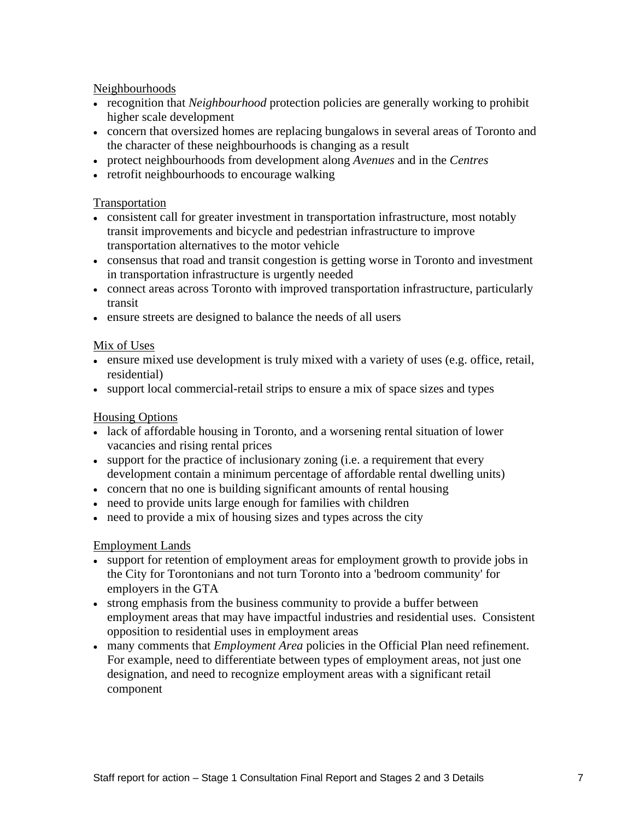#### Neighbourhoods

- recognition that *Neighbourhood* protection policies are generally working to prohibit higher scale development
- concern that oversized homes are replacing bungalows in several areas of Toronto and the character of these neighbourhoods is changing as a result
- protect neighbourhoods from development along *Avenues* and in the *Centres*
- retrofit neighbourhoods to encourage walking

#### **Transportation**

- consistent call for greater investment in transportation infrastructure, most notably transit improvements and bicycle and pedestrian infrastructure to improve transportation alternatives to the motor vehicle
- consensus that road and transit congestion is getting worse in Toronto and investment in transportation infrastructure is urgently needed
- connect areas across Toronto with improved transportation infrastructure, particularly transit
- ensure streets are designed to balance the needs of all users

#### Mix of Uses

- ensure mixed use development is truly mixed with a variety of uses (e.g. office, retail, residential)
- support local commercial-retail strips to ensure a mix of space sizes and types

### **Housing Options**

- lack of affordable housing in Toronto, and a worsening rental situation of lower vacancies and rising rental prices
- support for the practice of inclusionary zoning (i.e. a requirement that every development contain a minimum percentage of affordable rental dwelling units) concern that no one is building significant amounts of rental housing
- 
- need to provide units large enough for families with children
- need to provide a mix of housing sizes and types across the city

#### Employment Lands

- support for retention of employment areas for employment growth to provide jobs in the City for Torontonians and not turn Toronto into a 'bedroom community' for employers in the GTA
- strong emphasis from the business community to provide a buffer between employment areas that may have impactful industries and residential uses. Consistent opposition to residential uses in employment areas
- many comments that *Employment Area* policies in the Official Plan need refinement. For example, need to differentiate between types of employment areas, not just one designation, and need to recognize employment areas with a significant retail component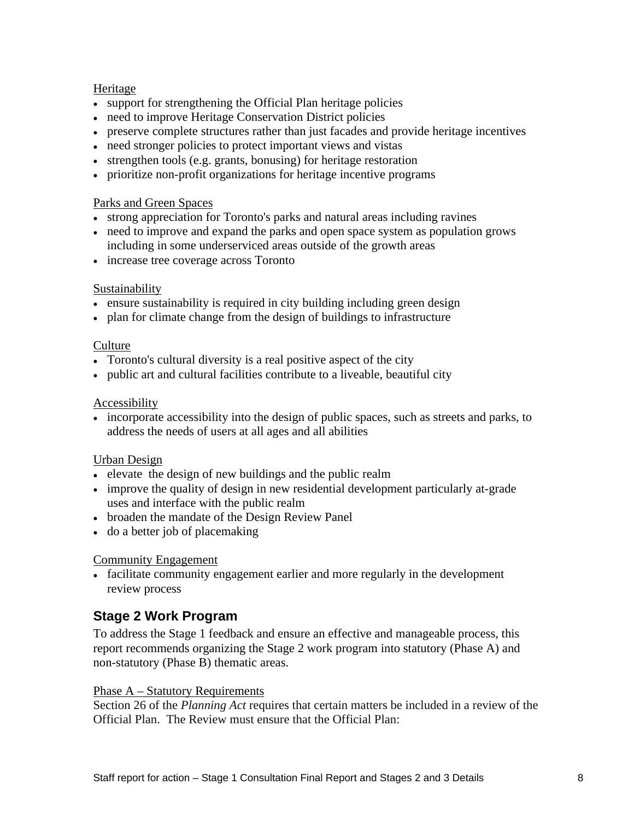#### **Heritage Heritage** *Heritage Heritage Heritage Heritage Heritage Heritage Heritage Heritage Heritage Heritage Heritage Heritage Heritage Heritage Heritage Her*

- support for strengthening the Official Plan heritage policies
- need to improve Heritage Conservation District policies
- preserve complete structures rather than just facades and provide heritage incentives
- need stronger policies to protect important views and vistas
- strengthen tools (e.g. grants, bonusing) for heritage restoration
- prioritize non-profit organizations for heritage incentive programs

#### Parks and Green Spaces

- strong appreciation for Toronto's parks and natural areas including ravines
- need to improve and expand the parks and open space system as population grows including in some underserviced areas outside of the growth areas
- increase tree coverage across Toronto

#### **Sustainability** and the set of the set of the set of the set of the set of the set of the set of the set of the set of the set of the set of the set of the set of the set of the set of the set of the set of the set of the

- ensure sustainability is required in city building including green design
- plan for climate change from the design of buildings to infrastructure

#### **Culture** experience that the contract of the contract of the contract of the contract of the contract of the contract of the contract of the contract of the contract of the contract of the contract of the contract of the

- Toronto's cultural diversity is a real positive aspect of the city
- public art and cultural facilities contribute to a liveable, beautiful city

#### Accessibility **Accessibility**

incorporate accessibility into the design of public spaces, such as streets and parks, to address the needs of users at all ages and all abilities

#### Urban Design

- elevate the design of new buildings and the public realm
- improve the quality of design in new residential development particularly at-grade uses and interface with the public realm
- broaden the mandate of the Design Review Panel
- do a better job of placemaking

#### Community Engagement

facilitate community engagement earlier and more regularly in the development review process

## **Stage 2 Work Program**

To address the Stage 1 feedback and ensure an effective and manageable process, this report recommends organizing the Stage 2 work program into statutory (Phase A) and non-statutory (Phase B) thematic areas.

#### Phase A – Statutory Requirements

Section 26 of the *Planning Act* requires that certain matters be included in a review of the Official Plan. The Review must ensure that the Official Plan: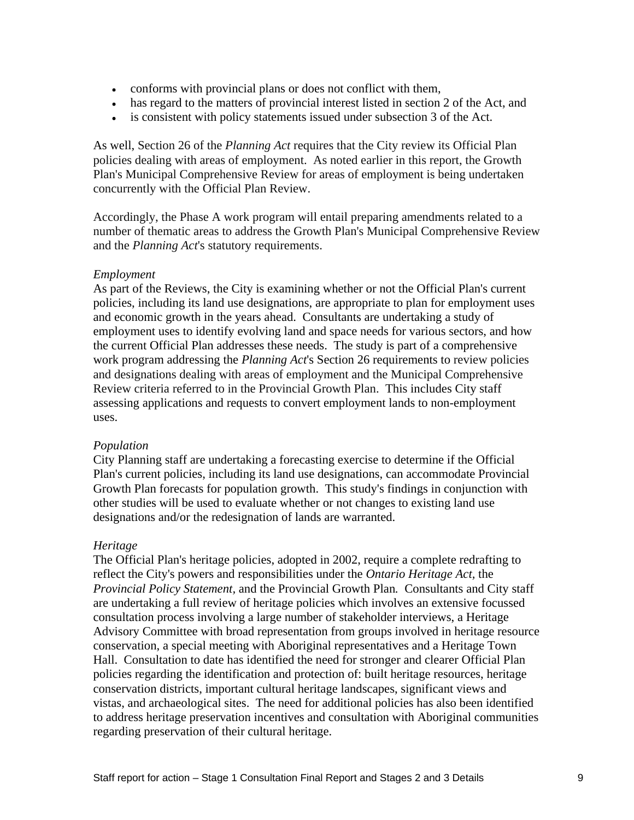- conforms with provincial plans or does not conflict with them,
- has regard to the matters of provincial interest listed in section 2 of the Act, and
- is consistent with policy statements issued under subsection 3 of the Act.

As well, Section 26 of the *Planning Act* requires that the City review its Official Plan policies dealing with areas of employment. As noted earlier in this report, the Growth Plan's Municipal Comprehensive Review for areas of employment is being undertaken concurrently with the Official Plan Review.

Accordingly, the Phase A work program will entail preparing amendments related to a number of thematic areas to address the Growth Plan's Municipal Comprehensive Review and the *Planning Act*'s statutory requirements.

#### *Employment*

As part of the Reviews, the City is examining whether or not the Official Plan's current policies, including its land use designations, are appropriate to plan for employment uses and economic growth in the years ahead. Consultants are undertaking a study of employment uses to identify evolving land and space needs for various sectors, and how the current Official Plan addresses these needs. The study is part of a comprehensive work program addressing the *Planning Act*'s Section 26 requirements to review policies and designations dealing with areas of employment and the Municipal Comprehensive Review criteria referred to in the Provincial Growth Plan. This includes City staff assessing applications and requests to convert employment lands to non-employment uses.

#### *Population*

City Planning staff are undertaking a forecasting exercise to determine if the Official Plan's current policies, including its land use designations, can accommodate Provincial Growth Plan forecasts for population growth. This study's findings in conjunction with other studies will be used to evaluate whether or not changes to existing land use designations and/or the redesignation of lands are warranted.

#### *Heritage*

The Official Plan's heritage policies, adopted in 2002, require a complete redrafting to reflect the City's powers and responsibilities under the *Ontario Heritage Act,* the *Provincial Policy Statement,* and the Provincial Growth Plan*.* Consultants and City staff are undertaking a full review of heritage policies which involves an extensive focussed consultation process involving a large number of stakeholder interviews, a Heritage Advisory Committee with broad representation from groups involved in heritage resource conservation, a special meeting with Aboriginal representatives and a Heritage Town Hall. Consultation to date has identified the need for stronger and clearer Official Plan policies regarding the identification and protection of: built heritage resources, heritage conservation districts, important cultural heritage landscapes, significant views and vistas, and archaeological sites. The need for additional policies has also been identified to address heritage preservation incentives and consultation with Aboriginal communities regarding preservation of their cultural heritage.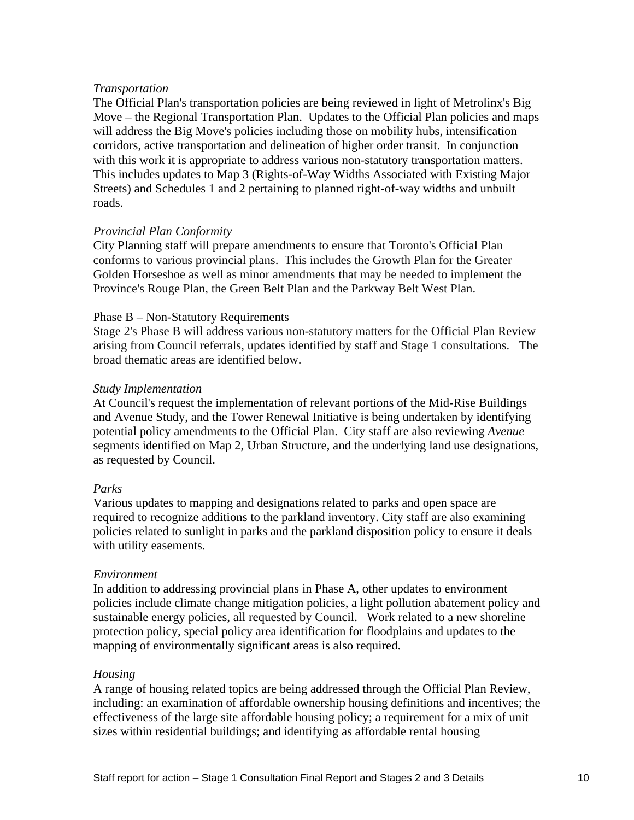#### *Transportation*

The Official Plan's transportation policies are being reviewed in light of Metrolinx's Big Move – the Regional Transportation Plan. Updates to the Official Plan policies and maps will address the Big Move's policies including those on mobility hubs, intensification corridors, active transportation and delineation of higher order transit. In conjunction with this work it is appropriate to address various non-statutory transportation matters. This includes updates to Map 3 (Rights-of-Way Widths Associated with Existing Major Streets) and Schedules 1 and 2 pertaining to planned right-of-way widths and unbuilt roads.

#### *Provincial Plan Conformity*

City Planning staff will prepare amendments to ensure that Toronto's Official Plan conforms to various provincial plans. This includes the Growth Plan for the Greater Golden Horseshoe as well as minor amendments that may be needed to implement the Province's Rouge Plan, the Green Belt Plan and the Parkway Belt West Plan.<br>Phase B – Non-Statutory Requirements

Stage 2's Phase B will address various non-statutory matters for the Official Plan Review arising from Council referrals, updates identified by staff and Stage 1 consultations. The broad thematic areas are identified below.

#### *Study Implementation*

At Council's request the implementation of relevant portions of the Mid-Rise Buildings and Avenue Study, and the Tower Renewal Initiative is being undertaken by identifying potential policy amendments to the Official Plan. City staff are also reviewing *Avenue* segments identified on Map 2, Urban Structure, and the underlying land use designations, as requested by Council.

#### *Parks*

Various updates to mapping and designations related to parks and open space are required to recognize additions to the parkland inventory. City staff are also examining policies related to sunlight in parks and the parkland disposition policy to ensure it deals with utility easements.

#### *Environment*

In addition to addressing provincial plans in Phase A, other updates to environment policies include climate change mitigation policies, a light pollution abatement policy and sustainable energy policies, all requested by Council. Work related to a new shoreline protection policy, special policy area identification for floodplains and updates to the mapping of environmentally significant areas is also required.

#### *Housing*

A range of housing related topics are being addressed through the Official Plan Review, including: an examination of affordable ownership housing definitions and incentives; the effectiveness of the large site affordable housing policy; a requirement for a mix of unit sizes within residential buildings; and identifying as affordable rental housing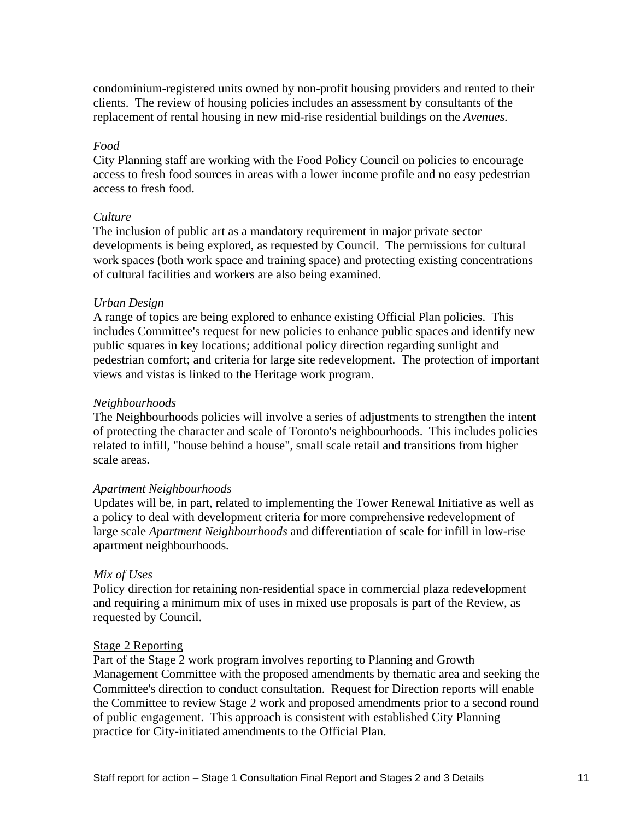condominium-registered units owned by non-profit housing providers and rented to their clients. The review of housing policies includes an assessment by consultants of the replacement of rental housing in new mid-rise residential buildings on the *Avenues.*

#### *Food*

City Planning staff are working with the Food Policy Council on policies to encourage access to fresh food sources in areas with a lower income profile and no easy pedestrian access to fresh food.

#### *Culture*

The inclusion of public art as a mandatory requirement in major private sector developments is being explored, as requested by Council. The permissions for cultural work spaces (both work space and training space) and protecting existing concentrations of cultural facilities and workers are also being examined.

#### *Urban Design*

A range of topics are being explored to enhance existing Official Plan policies. This includes Committee's request for new policies to enhance public spaces and identify new public squares in key locations; additional policy direction regarding sunlight and pedestrian comfort; and criteria for large site redevelopment. The protection of important views and vistas is linked to the Heritage work program.

#### *Neighbourhoods*

The Neighbourhoods policies will involve a series of adjustments to strengthen the intent of protecting the character and scale of Toronto's neighbourhoods. This includes policies related to infill, "house behind a house", small scale retail and transitions from higher scale areas.

#### *Apartment Neighbourhoods*

Updates will be, in part, related to implementing the Tower Renewal Initiative as well as a policy to deal with development criteria for more comprehensive redevelopment of large scale *Apartment Neighbourhoods* and differentiation of scale for infill in low-rise apartment neighbourhoods*.*

#### *Mix of Uses*

Policy direction for retaining non-residential space in commercial plaza redevelopment and requiring a minimum mix of uses in mixed use proposals is part of the Review, as requested by Council.

#### Stage 2 Reporting

Part of the Stage 2 work program involves reporting to Planning and Growth Management Committee with the proposed amendments by thematic area and seeking the Committee's direction to conduct consultation. Request for Direction reports will enable the Committee to review Stage 2 work and proposed amendments prior to a second round of public engagement. This approach is consistent with established City Planning practice for City-initiated amendments to the Official Plan.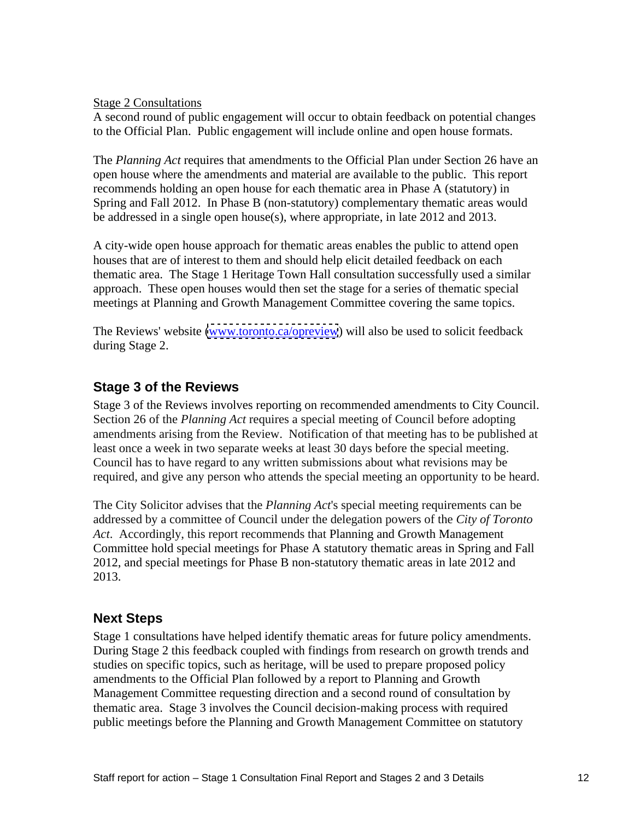Stage 2 Consultations

A second round of public engagement will occur to obtain feedback on potential changes to the Official Plan. Public engagement will include online and open house formats.

The *Planning Act* requires that amendments to the Official Plan under Section 26 have an open house where the amendments and material are available to the public. This report recommends holding an open house for each thematic area in Phase A (statutory) in Spring and Fall 2012. In Phase B (non-statutory) complementary thematic areas would be addressed in a single open house(s), where appropriate, in late 2012 and 2013.

A city-wide open house approach for thematic areas enables the public to attend open houses that are of interest to them and should help elicit detailed feedback on each thematic area. The Stage 1 Heritage Town Hall consultation successfully used a similar approach. These open houses would then set the stage for a series of thematic special meetings at Planning and Growth Management Committee covering the same topics.

The Reviews' website [\(www.toronto.ca/opreview](http://www.toronto.ca/opreview)) will also be used to solicit feedback during Stage 2.

## **Stage 3 of the Reviews**

Stage 3 of the Reviews involves reporting on recommended amendments to City Council. Section 26 of the *Planning Act* requires a special meeting of Council before adopting amendments arising from the Review. Notification of that meeting has to be published at least once a week in two separate weeks at least 30 days before the special meeting.Council has to have regard to any written submissions about what revisions may be required, and give any person who attends the special meeting an opportunity to be heard.

The City Solicitor advises that the *Planning Act*'s special meeting requirements can be addressed by a committee of Council under the delegation powers of the *City of Toronto Act*. Accordingly, this report recommends that Planning and Growth Management Committee hold special meetings for Phase A statutory thematic areas in Spring and Fall 2012, and special meetings for Phase B non-statutory thematic areas in late 2012 and 2013.

## **Next Steps**

Stage 1 consultations have helped identify thematic areas for future policy amendments. During Stage 2 this feedback coupled with findings from research on growth trends and studies on specific topics, such as heritage, will be used to prepare proposed policy amendments to the Official Plan followed by a report to Planning and Growth Management Committee requesting direction and a second round of consultation by thematic area. Stage 3 involves the Council decision-making process with required public meetings before the Planning and Growth Management Committee on statutory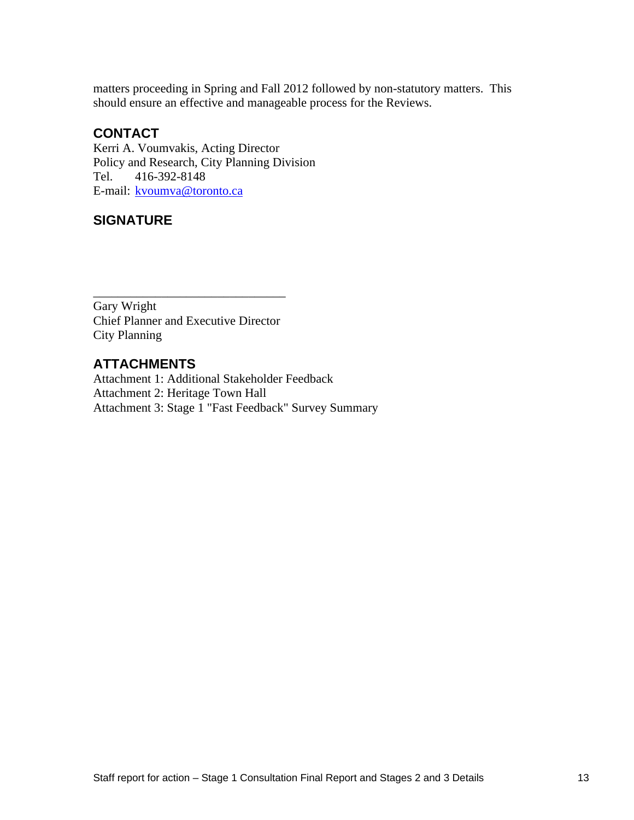matters proceeding in Spring and Fall 2012 followed by non-statutory matters. This should ensure an effective and manageable process for the Reviews.

## **CONTACT**

Kerri A. Voumvakis, Acting Director Policy and Research, City Planning Division Tel. 416-392-8148 E-mail: kvoumva@toronto.ca

## **SIGNATURE**

 $\overline{\phantom{a}}$  , we are the contract of the contract of the contract of the contract of the contract of the contract of the contract of the contract of the contract of the contract of the contract of the contract of the cont Gary Wright Chief Planner and Executive Director City Planning

## **ATTACHMENTS**

Attachment 1: Additional Stakeholder Feedback Attachment 2: Heritage Town Hall Attachment 3: Stage 1 "Fast Feedback" Survey Summary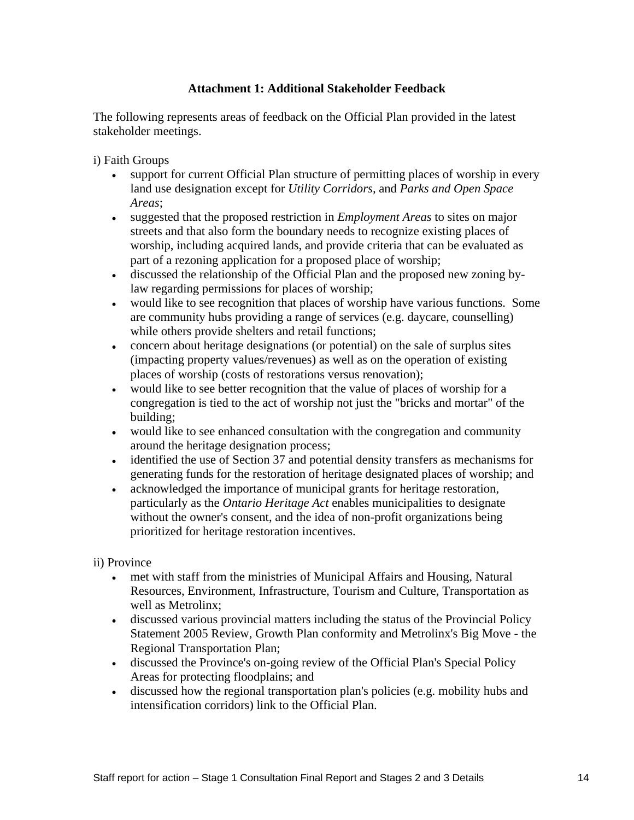#### **Attachment 1: Additional Stakeholder Feedback**

The following represents areas of feedback on the Official Plan provided in the latest stakeholder meetings.

- i) Faith Groups<br>
support for current Official Plan structure of permitting places of worship in every land use designation except for *Utility Corridors,* and *Parks and Open Space Areas*;
	- suggested that the proposed restriction in *Employment Areas* to sites on major streets and that also form the boundary needs to recognize existing places of worship, including acquired lands, and provide criteria that can be evaluated as part of a rezoning application for a proposed place of worship;
	- discussed the relationship of the Official Plan and the proposed new zoning bylaw regarding permissions for places of worship;
	- would like to see recognition that places of worship have various functions. Some are community hubs providing a range of services (e.g. daycare, counselling) while others provide shelters and retail functions;
	- concern about heritage designations (or potential) on the sale of surplus sites (impacting property values/revenues) as well as on the operation of existing places of worship (costs of restorations versus renovation);
	- would like to see better recognition that the value of places of worship for a congregation is tied to the act of worship not just the "bricks and mortar" of the building; the contract of the contract of the contract of the contract of the contract of the contract of the contract of the contract of the contract of the contract of the contract of the contract of the contract of the
	- would like to see enhanced consultation with the congregation and community around the heritage designation process;
	- identified the use of Section 37 and potential density transfers as mechanisms for generating funds for the restoration of heritage designated places of worship; and
	- acknowledged the importance of municipal grants for heritage restoration, particularly as the *Ontario Heritage Act* enables municipalities to designate without the owner's consent, and the idea of non-profit organizations being prioritized for heritage restoration incentives.

### ii) Province

- met with staff from the ministries of Municipal Affairs and Housing, Natural  $\bullet$ Resources, Environment, Infrastructure, Tourism and Culture, Transportation as well as Metrolinx;
- discussed various provincial matters including the status of the Provincial Policy Statement 2005 Review, Growth Plan conformity and Metrolinx's Big Move - the Regional Transportation Plan;
- discussed the Province's on-going review of the Official Plan's Special Policy Areas for protecting floodplains; and
- discussed how the regional transportation plan's policies (e.g. mobility hubs and intensification corridors) link to the Official Plan.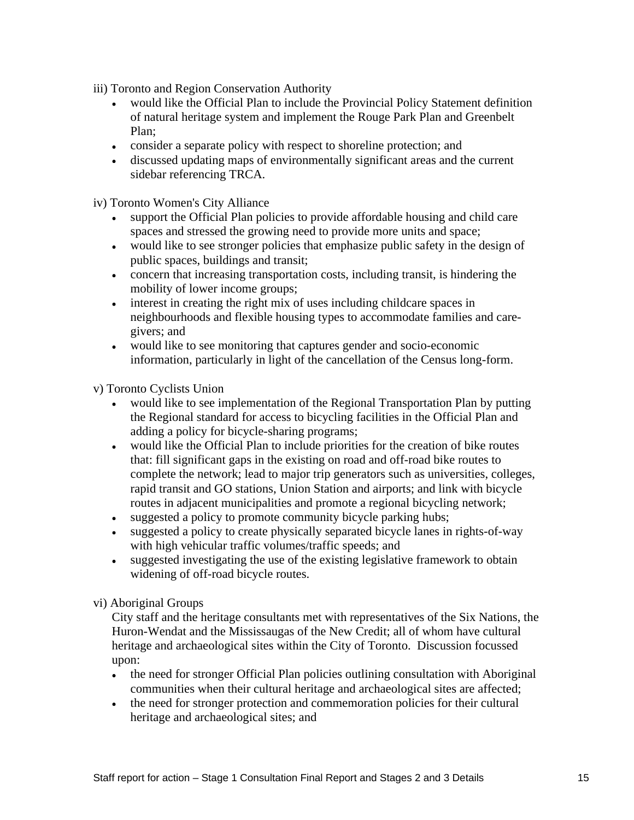iii) Toronto and Region Conservation Authority

- would like the Official Plan to include the Provincial Policy Statement definition of natural heritage system and implement the Rouge Park Plan and Greenbelt Plan;
- consider a separate policy with respect to shoreline protection; and
- discussed updating maps of environmentally significant areas and the current sidebar referencing TRCA.

iv) Toronto Women's City Alliance

- support the Official Plan policies to provide affordable housing and child care spaces and stressed the growing need to provide more units and space;
- would like to see stronger policies that emphasize public safety in the design of public spaces, buildings and transit;
- concern that increasing transportation costs, including transit, is hindering the mobility of lower income groups;
- interest in creating the right mix of uses including childcare spaces in neighbourhoods and flexible housing types to accommodate families and care givers; and
- would like to see monitoring that captures gender and socio-economic information, particularly in light of the cancellation of the Census long-form.

v) Toronto Cyclists Union

- would like to see implementation of the Regional Transportation Plan by putting the Regional standard for access to bicycling facilities in the Official Plan and adding a policy for bicycle-sharing programs;
- would like the Official Plan to include priorities for the creation of bike routes  $\bullet$ that: fill significant gaps in the existing on road and off-road bike routes to complete the network; lead to major trip generators such as universities, colleges, rapid transit and GO stations, Union Station and airports; and link with bicycle routes in adjacent municipalities and promote a regional bicycling network;
- suggested a policy to promote community bicycle parking hubs;
- suggested a policy to create physically separated bicycle lanes in rights-of-way with high vehicular traffic volumes/traffic speeds; and
- suggested investigating the use of the existing legislative framework to obtain widening of off-road bicycle routes.

#### vi) Aboriginal Groups

City staff and the heritage consultants met with representatives of the Six Nations, the Huron-Wendat and the Mississaugas of the New Credit; all of whom have cultural heritage and archaeological sites within the City of Toronto. Discussion focussed upon:

- $\bullet$ the need for stronger Official Plan policies outlining consultation with Aboriginal communities when their cultural heritage and archaeological sites are affected;
- the need for stronger protection and commemoration policies for their cultural heritage and archaeological sites; and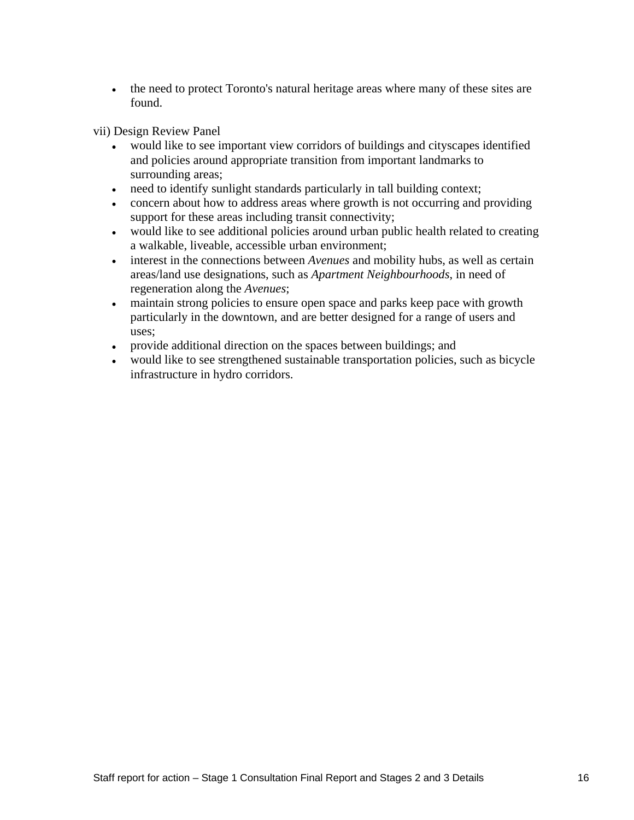• the need to protect Toronto's natural heritage areas where many of these sites are found.

vii) Design Review Panel

- would like to see important view corridors of buildings and cityscapes identified  $\bullet$ and policies around appropriate transition from important landmarks to surrounding areas;
- need to identify sunlight standards particularly in tall building context;
- concern about how to address areas where growth is not occurring and providing support for these areas including transit connectivity;
- would like to see additional policies around urban public health related to creating a walkable, liveable, accessible urban environment;
- interest in the connections between *Avenues* and mobility hubs, as well as certain areas/land use designations, such as *Apartment Neighbourhoods*, in need of regeneration along the *Avenues*;
- maintain strong policies to ensure open space and parks keep pace with growth  $\bullet$ particularly in the downtown, and are better designed for a range of users and uses;
- provide additional direction on the spaces between buildings; and
- would like to see strengthened sustainable transportation policies, such as bicycle infrastructure in hydro corridors.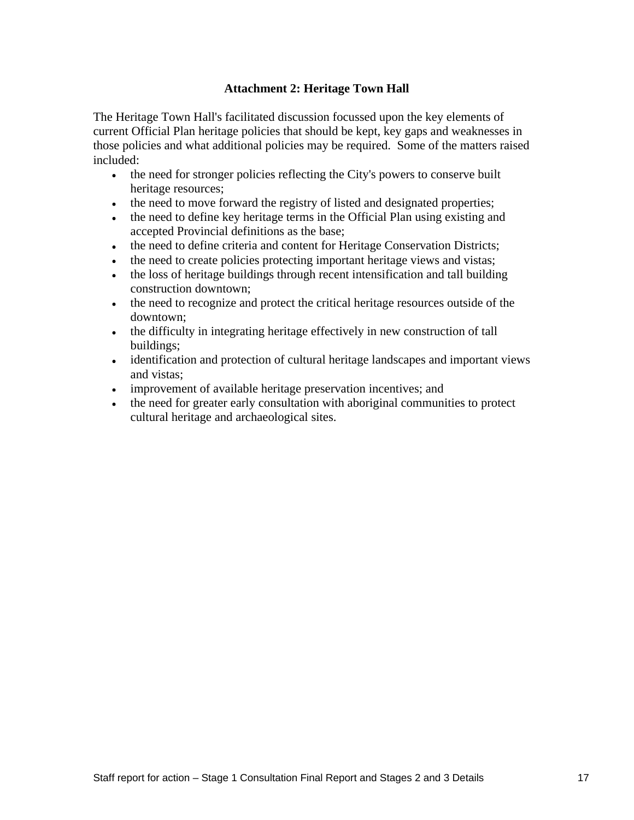#### **Attachment 2: Heritage Town Hall**

The Heritage Town Hall's facilitated discussion focussed upon the key elements of current Official Plan heritage policies that should be kept, key gaps and weaknesses in those policies and what additional policies may be required. Some of the matters raised included:

- the need for stronger policies reflecting the City's powers to conserve built heritage resources;
- the need to move forward the registry of listed and designated properties;
- the need to define key heritage terms in the Official Plan using existing and accepted Provincial definitions as the base;
- the need to define criteria and content for Heritage Conservation Districts;  $\bullet$
- the need to create policies protecting important heritage views and vistas;
- the loss of heritage buildings through recent intensification and tall building construction downtown;
- the need to recognize and protect the critical heritage resources outside of the downtown;
- the difficulty in integrating heritage effectively in new construction of tall buildings; the contract of the contract of the contract of the contract of the contract of the contract of the contract of the contract of the contract of the contract of the contract of the contract of the contract of the
- identification and protection of cultural heritage landscapes and important views and vistas;
- improvement of available heritage preservation incentives; and
- the need for greater early consultation with aboriginal communities to protect cultural heritage and archaeological sites.